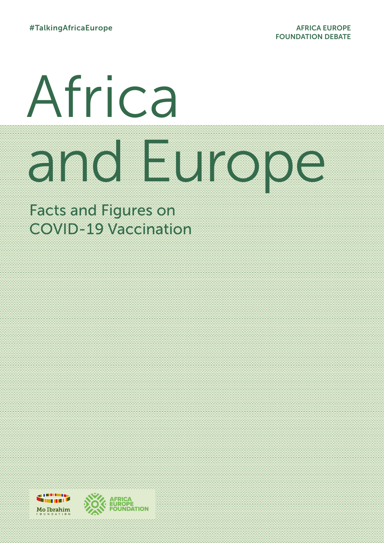# Africa and Europe College College College College College College College College College College College College Col

Factures and Figures on COVIDE CAVACINATION

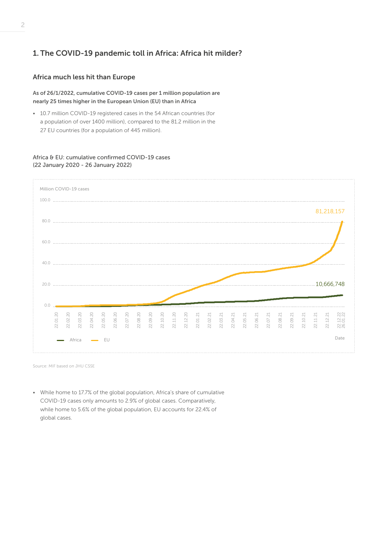# 1. The COVID-19 pandemic toll in Africa: Africa hit milder?

# Africa much less hit than Europe

As of 26/1/2022, cumulative COVID-19 cases per 1 million population are nearly 25 times higher in the European Union (EU) than in Africa

• 10.7 million COVID-19 registered cases in the 54 African countries (for a population of over 1400 million), compared to the 81.2 million in the 27 EU countries (for a population of 445 million).

# Africa & EU: cumulative confirmed COVID-19 cases (22 January 2020 - 26 January 2022)



Source: MIF based on JHU CSSE

• While home to 17.7% of the global population, Africa's share of cumulative COVID-19 cases only amounts to 2.9% of global cases. Comparatively, while home to 5.6% of the global population, EU accounts for 22.4% of global cases.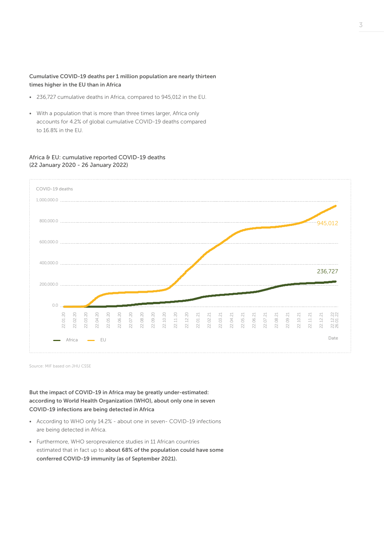# Cumulative COVID-19 deaths per 1 million population are nearly thirteen times higher in the EU than in Africa

- 236,727 cumulative deaths in Africa, compared to 945,012 in the EU.
- With a population that is more than three times larger, Africa only accounts for 4.2% of global cumulative COVID-19 deaths compared to 16.8% in the EU.

# Africa & EU: cumulative reported COVID-19 deaths (22 January 2020 - 26 January 2022)



Source: MIF based on JHU CSSE

But the impact of COVID-19 in Africa may be greatly under-estimated: according to World Health Organization (WHO), about only one in seven COVID-19 infections are being detected in Africa

- According to WHO only 14.2% about one in seven- COVID-19 infections are being detected in Africa.
- Furthermore, WHO seroprevalence studies in 11 African countries estimated that in fact up to about 68% of the population could have some conferred COVID-19 immunity (as of September 2021).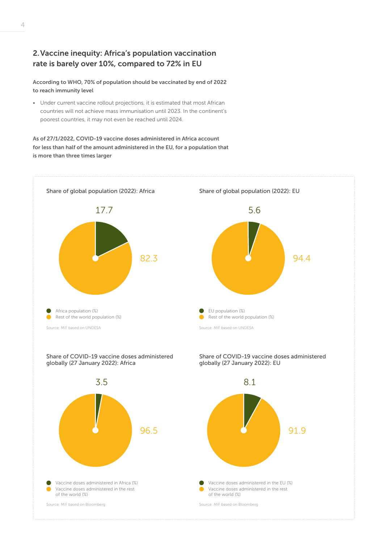# 2.Vaccine inequity: Africa's population vaccination rate is barely over 10%, compared to 72% in EU

According to WHO, 70% of population should be vaccinated by end of 2022 to reach immunity level

• Under current vaccine rollout projections, it is estimated that most African countries will not achieve mass immunisation until 2023. In the continent's poorest countries, it may not even be reached until 2024.

As of 27/1/2022, COVID-19 vaccine doses administered in Africa account for less than half of the amount administered in the EU, for a population that is more than three times larger



Vaccine doses administered in the rest

Vaccine doses administered in the EU (%)

of the world (%)

Source: MIF based on Bloomberg

Vaccine doses administered in the rest of the world (%) Vaccine doses administered in Africa (%)

Source: MIF based on Bloomberg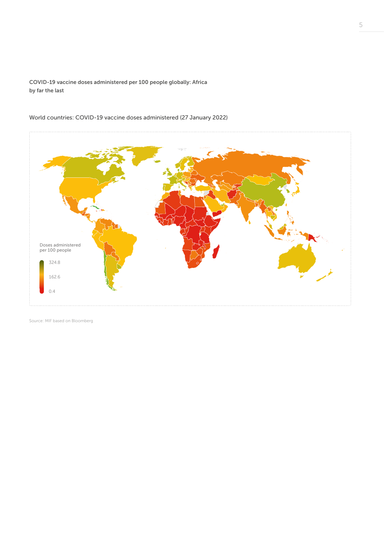COVID-19 vaccine doses administered per 100 people globally: Africa by far the last



World countries: COVID-19 vaccine doses administered (27 January 2022)

Source: MIF based on Bloomberg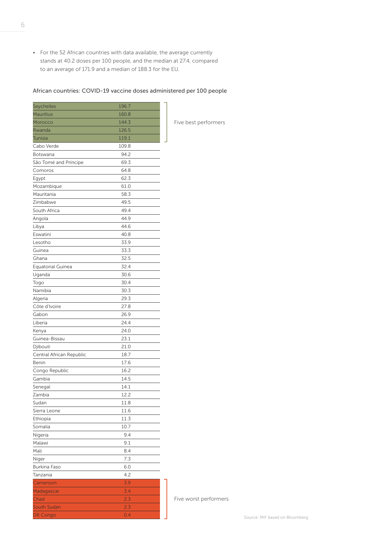• For the 52 African countries with data available, the average currently stands at 40.2 doses per 100 people, and the median at 27.4, compared to an average of 171.9 and a median of 188.3 for the EU.

## African countries: COVID-19 vaccine doses administered per 100 people

| Seychelles               | 196.7      |   |
|--------------------------|------------|---|
| <b>Mauritius</b>         | 160.8      |   |
| Morocco                  | 144.3      | ł |
| Rwanda                   | 126.5      |   |
| Tunisia                  | 119.1      |   |
| Cabo Verde               | 109.8      |   |
| Botswana                 | 94.2       |   |
| São Tomé and Príncipe    | 69.3       |   |
| Comoros                  | 64.8       |   |
| Egypt                    | 62.3       |   |
| Mozambique               | 61.0       |   |
| Mauritania               | 58.3       |   |
| Zimbabwe                 | 49.5       |   |
| South Africa             | 49.4       |   |
| Angola                   | 44.9       |   |
| Libya                    | 44.6       |   |
| Eswatini                 | 40.8       |   |
| Lesotho                  | 33.9       |   |
| Guinea                   | 33.3       |   |
| Ghana                    | 32.5       |   |
| <b>Equatorial Guinea</b> | 32.4       |   |
| Uganda                   | 30.6       |   |
| Togo                     | 30.4       |   |
| Namibia                  | 30.3       |   |
| Algeria                  | 29.3       |   |
| Côte d'Ivoire            | 27.8       |   |
| Gabon                    | 26.9       |   |
| Liberia                  | 24.4       |   |
| Kenya                    | 24.0       |   |
| Guinea-Bissau            | 23.1       |   |
| Djibouti                 | 21.0       |   |
| Central African Republic | 18.7       |   |
| Benin                    | 17.6       |   |
| Congo Republic           | 16.2       |   |
| Gambia                   | 14.5       |   |
| Senegal                  | 14.1       |   |
| Zambia                   | 12.2       |   |
| Sudan                    | 11.8       |   |
| Sierra Leone             | 11.6       |   |
| Ethiopia                 | 11.3       |   |
| Somalia                  | 10.7       |   |
| Nigeria                  | 9.4        |   |
| Malawi                   | 9.1        |   |
| Mali                     | 8.4        |   |
| Niger                    | 7.3        |   |
| <b>Burkina Faso</b>      | 6.0        |   |
|                          |            |   |
| Tanzania                 | 4.2<br>3.9 |   |
| Cameroon                 |            |   |
| Madagascar               | 3.4        |   |
| Chad                     | 2.3        |   |
| South Sudan              | 2.3        |   |
| <b>DR Congo</b>          | 0.4        |   |

Five best performers

Five worst performers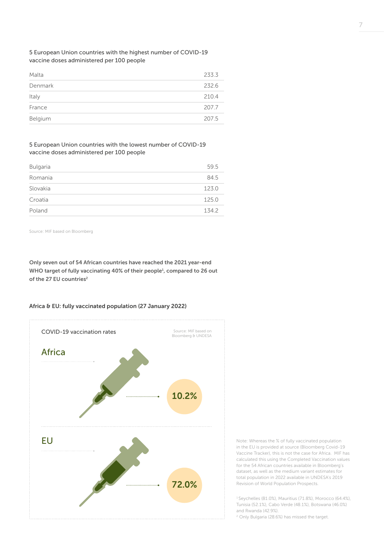5 European Union countries with the highest number of COVID-19 vaccine doses administered per 100 people

| Malta   | 233.3 |
|---------|-------|
| Denmark | 232.6 |
| Italy   | 210.4 |
| France  | 207.7 |
| Belgium | 207.5 |

## 5 European Union countries with the lowest number of COVID-19 vaccine doses administered per 100 people

| <b>Bulgaria</b> | 59.5  |
|-----------------|-------|
| Romania         | 84.5  |
| Slovakia        | 123.0 |
| Croatia         | 125.0 |
| Poland          | 1342  |

Source: MIF based on Bloomberg

Only seven out of 54 African countries have reached the 2021 year-end WHO target of fully vaccinating 40% of their people<sup>1</sup>, compared to 26 out of the 27 EU countries<sup>2</sup>

#### Africa & EU: fully vaccinated population (27 January 2022)



Note: Whereas the % of fully vaccinated population in the EU is provided at source (Bloomberg Covid-19 Vaccine Tracker), this is not the case for Africa. MIF has calculated this using the Completed Vaccination values for the 54 African countries available in Bloomberg's dataset, as well as the medium variant estimates for total population in 2022 available in UNDESA's 2019 Revision of World Population Prospects.

1 Seychelles (81.0%), Mauritius (71.8%), Morocco (64.4%), Tunisia (52.1%), Cabo Verde (48.1%), Botswana (46.0%) and Rwanda (42.9%).

2 Only Bulgaria (28.6%) has missed the target.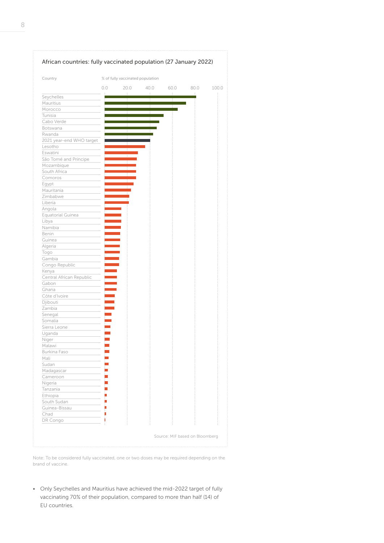

Note: To be considered fully vaccinated, one or two doses may be required depending on the brand of vaccine.

• Only Seychelles and Mauritius have achieved the mid-2022 target of fully vaccinating 70% of their population, compared to more than half (14) of EU countries.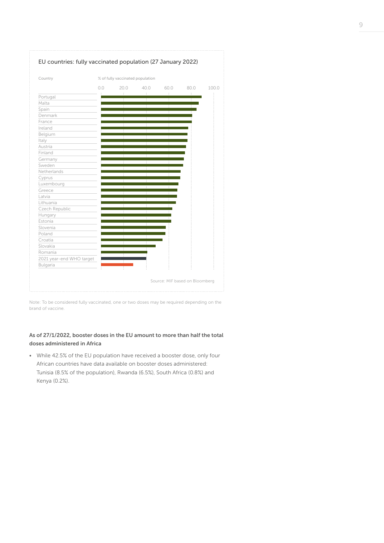

Note: To be considered fully vaccinated, one or two doses may be required depending on the brand of vaccine.

# As of 27/1/2022, booster doses in the EU amount to more than half the total doses administered in Africa

• While 42.5% of the EU population have received a booster dose, only four African countries have data available on booster doses administered: Tunisia (8.5% of the population), Rwanda (6.5%), South Africa (0.8%) and Kenya (0.2%).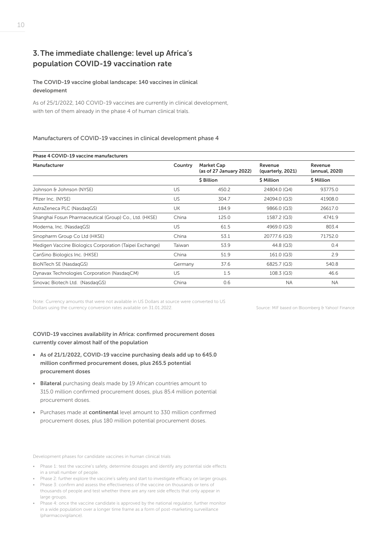# 3.The immediate challenge: level up Africa's population COVID-19 vaccination rate

# The COVID-19 vaccine global landscape: 140 vaccines in clinical development

As of 25/1/2022, 140 COVID-19 vaccines are currently in clinical development, with ten of them already in the phase 4 of human clinical trials.

# Manufacturers of COVID-19 vaccines in clinical development phase 4

| Phase 4 COVID-19 vaccine manufacturers                  |           |                                              |                              |                           |
|---------------------------------------------------------|-----------|----------------------------------------------|------------------------------|---------------------------|
| Manufacturer                                            | Country   | <b>Market Cap</b><br>(as of 27 January 2022) | Revenue<br>(quarterly, 2021) | Revenue<br>(annual, 2020) |
|                                                         |           | \$ Billion                                   | \$ Million                   | \$ Million                |
| Johnson & Johnson (NYSE)                                | <b>US</b> | 450.2                                        | 24804.0 (Q4)                 | 93775.0                   |
| Pfizer Inc. (NYSE)                                      | <b>US</b> | 304.7                                        | 24094.0 (Q3)                 | 41908.0                   |
| AstraZeneca PLC (NasdagGS)                              | <b>UK</b> | 184.9                                        | 9866.0 (Q3)                  | 26617.0                   |
| Shanghai Fosun Pharmaceutical (Group) Co., Ltd. (HKSE)  | China     | 125.0                                        | 1587.2 (Q3)                  | 4741.9                    |
| Moderna, Inc. (NasdagGS)                                | US.       | 61.5                                         | 4969.0 (Q3)                  | 803.4                     |
| Sinopharm Group Co Ltd (HKSE)                           | China     | 53.1                                         | 20777.6 (Q3)                 | 71752.0                   |
| Medigen Vaccine Biologics Corporation (Taipei Exchange) | Taiwan    | 53.9                                         | $44.8$ (Q3)                  | 0.4                       |
| CanSino Biologics Inc. (HKSE)                           | China     | 51.9                                         | 161.0(Q3)                    | 2.9                       |
| BioNTech SE (NasdagGS)                                  | Germany   | 37.6                                         | 6825.7 (Q3)                  | 540.8                     |
| Dynavax Technologies Corporation (NasdaqCM)             | US.       | 1.5                                          | 108.3(Q3)                    | 46.6                      |
| Sinovac Biotech Ltd. (NasdagGS)                         | China     | 0.6                                          | <b>NA</b>                    | <b>NA</b>                 |

Note: Currency amounts that were not available in US Dollars at source were converted to US Dollars using the currency conversion rates available on 31.01.2022.

Source: MIF based on Bloomberg & Yahoo! Finance

# COVID-19 vaccines availability in Africa: confirmed procurement doses currently cover almost half of the population

- As of 21/1/2022, COVID-19 vaccine purchasing deals add up to 645.0 million confirmed procurement doses, plus 265.5 potential procurement doses
- Bilateral purchasing deals made by 19 African countries amount to 315.0 million confirmed procurement doses, plus 85.4 million potential procurement doses.
- Purchases made at continental level amount to 330 million confirmed procurement doses, plus 180 million potential procurement doses.

Development phases for candidate vaccines in human clinical trials

- Phase 1: test the vaccine's safety, determine dosages and identify any potential side effects in a small number of people.
- Phase 2: further explore the vaccine's safety and start to investigate efficacy on larger groups.
- Phase 3: confirm and assess the effectiveness of the vaccine on thousands or tens of thousands of people and test whether there are any rare side effects that only appear in large groups.
- Phase 4: once the vaccine candidate is approved by the national regulator, further monitor in a wide population over a longer time frame as a form of post-marketing surveillance (pharmacovigilance).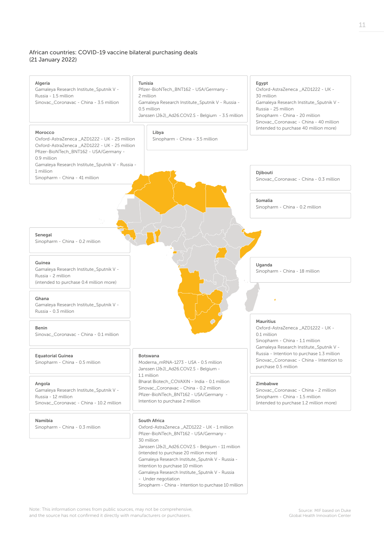# African countries: COVID-19 vaccine bilateral purchasing deals (21 January 2022)

| Algeria<br>Gamaleya Research Institute_Sputnik V -<br>Russia - 1.5 million<br>Sinovac_Coronavac - China - 3.5 million<br>Morocco<br>Oxford-AstraZeneca _AZD1222 - UK - 25 million                         | Tunisia<br>Pfizer-BioNTech_BNT162 - USA/Germany -<br>2 million<br>Gamaleya Research Institute_Sputnik V - Russia -<br>0.5 million<br>Janssen (J&J)_Ad26.COV2.S - Belgium - 3.5 million<br>Libya<br>Sinopharm - China - 3.5 million                                                                                                                                                                                                          | Egypt<br>Oxford-AstraZeneca _AZD1222 - UK -<br>30 million<br>Gamaleya Research Institute_Sputnik V -<br>Russia - 25 million<br>Sinopharm - China - 20 million<br>Sinovac_Coronavac - China - 40 million<br>(intended to purchase 40 million more) |
|-----------------------------------------------------------------------------------------------------------------------------------------------------------------------------------------------------------|---------------------------------------------------------------------------------------------------------------------------------------------------------------------------------------------------------------------------------------------------------------------------------------------------------------------------------------------------------------------------------------------------------------------------------------------|---------------------------------------------------------------------------------------------------------------------------------------------------------------------------------------------------------------------------------------------------|
| Oxford-AstraZeneca _AZD1222 - UK - 25 million<br>Pfizer-BioNTech_BNT162 - USA/Germany -<br>0.9 million<br>Gamaleya Research Institute_Sputnik V - Russia -<br>1 million<br>Sinopharm - China - 41 million |                                                                                                                                                                                                                                                                                                                                                                                                                                             | Djibouti<br>Sinovac_Coronavac - China - 0.3 million                                                                                                                                                                                               |
|                                                                                                                                                                                                           |                                                                                                                                                                                                                                                                                                                                                                                                                                             | Somalia<br>Sinopharm - China - 0.2 million                                                                                                                                                                                                        |
| Senegal<br>Sinopharm - China - 0.2 million                                                                                                                                                                |                                                                                                                                                                                                                                                                                                                                                                                                                                             |                                                                                                                                                                                                                                                   |
| Guinea<br>Gamaleya Research Institute_Sputnik V -<br>Russia - 2 million<br>(intended to purchase 0.4 million more)                                                                                        |                                                                                                                                                                                                                                                                                                                                                                                                                                             | Uganda<br>Sinopharm - China - 18 million                                                                                                                                                                                                          |
| Ghana<br>Gamaleya Research Institute_Sputnik V -<br>Russia - 0.3 million                                                                                                                                  |                                                                                                                                                                                                                                                                                                                                                                                                                                             |                                                                                                                                                                                                                                                   |
| Benin<br>Sinovac Coronavac - China - 0.1 million                                                                                                                                                          |                                                                                                                                                                                                                                                                                                                                                                                                                                             | <b>Mauritius</b><br>Oxford-AstraZeneca _AZD1222 - UK -<br>0.1 million<br>Sinopharm - China - 1.1 million                                                                                                                                          |
| <b>Equatorial Guinea</b><br>Sinopharm - China - 0.5 million                                                                                                                                               | <b>Botswana</b><br>Moderna_mRNA-1273 - USA - 0.5 million<br>Janssen (J&J)_Ad26.COV2.S - Belgium -                                                                                                                                                                                                                                                                                                                                           | Gamaleya Research Institute_Sputnik V -<br>Russia - Intention to purchase 1.3 million<br>Sinovac Coronavac - China - Intention to<br>purchase 0.5 million                                                                                         |
| Angola<br>Gamaleya Research Institute_Sputnik V -<br>Russia - 12 million<br>Sinovac_Coronavac - China - 10.2 million                                                                                      | 1.1 million<br>Bharat Biotech_COVAXIN - India - 0.1 million<br>Sinovac_Coronavac - China - 0.2 million<br>Pfizer-BioNTech_BNT162 - USA/Germany -<br>Intention to purchase 2 million                                                                                                                                                                                                                                                         | Zimbabwe<br>Sinovac_Coronavac - China - 2 million<br>Sinopharm - China - 1.5 million<br>(intended to purchase 1.2 million more)                                                                                                                   |
| Namibia<br>Sinopharm - China - 0.3 million                                                                                                                                                                | South Africa<br>Oxford-AstraZeneca _AZD1222 - UK - 1 million<br>Pfizer-BioNTech_BNT162 - USA/Germany -<br>30 million<br>Janssen (J&J)_Ad26.COV2.S - Belgium - 11 million<br>(intended to purchase 20 million more)<br>Gamaleya Research Institute_Sputnik V - Russia -<br>Intention to purchase 10 million<br>Gamaleya Research Institute_Sputnik V - Russia<br>- Under negotiation<br>Sinopharm - China - Intention to purchase 10 million |                                                                                                                                                                                                                                                   |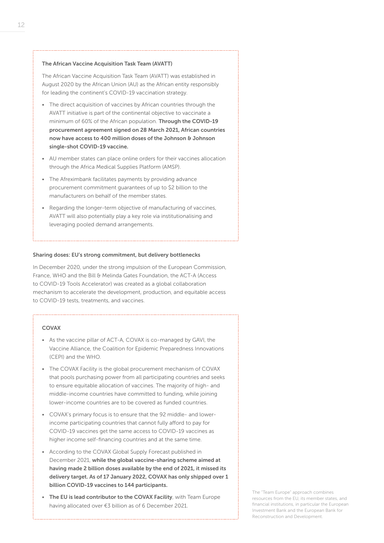#### The African Vaccine Acquisition Task Team (AVATT)

The African Vaccine Acquisition Task Team (AVATT) was established in August 2020 by the African Union (AU) as the African entity responsibly for leading the continent's COVID-19 vaccination strategy.

- The direct acquisition of vaccines by African countries through the AVATT initiative is part of the continental objective to vaccinate a minimum of 60% of the African population. Through the COVID-19 procurement agreement signed on 28 March 2021, African countries now have access to 400 million doses of the Johnson & Johnson single-shot COVID-19 vaccine.
- AU member states can place online orders for their vaccines allocation through the Africa Medical Supplies Platform (AMSP).
- The Afreximbank facilitates payments by providing advance procurement commitment guarantees of up to \$2 billion to the manufacturers on behalf of the member states.
- Regarding the longer-term objective of manufacturing of vaccines, AVATT will also potentially play a key role via institutionalising and leveraging pooled demand arrangements.

#### Sharing doses: EU's strong commitment, but delivery bottlenecks

In December 2020, under the strong impulsion of the European Commission, France, WHO and the Bill & Melinda Gates Foundation, the ACT-A (Access to COVID-19 Tools Accelerator) was created as a global collaboration mechanism to accelerate the development, production, and equitable access to COVID-19 tests, treatments, and vaccines.

#### COVAX

- As the vaccine pillar of ACT-A, COVAX is co-managed by GAVI, the Vaccine Alliance, the Coalition for Epidemic Preparedness Innovations (CEPI) and the WHO.
- The COVAX Facility is the global procurement mechanism of COVAX that pools purchasing power from all participating countries and seeks to ensure equitable allocation of vaccines. The majority of high- and middle-income countries have committed to funding, while joining lower-income countries are to be covered as funded countries.
- COVAX's primary focus is to ensure that the 92 middle- and lowerincome participating countries that cannot fully afford to pay for COVID-19 vaccines get the same access to COVID-19 vaccines as higher income self-financing countries and at the same time.
- According to the COVAX Global Supply Forecast published in December 2021, while the global vaccine-sharing scheme aimed at having made 2 billion doses available by the end of 2021, it missed its delivery target. As of 17 January 2022, COVAX has only shipped over 1 billion COVID-19 vaccines to 144 participants.
- The EU is lead contributor to the COVAX Facility, with Team Europe having allocated over €3 billion as of 6 December 2021.

The "Team Europe" approach combines resources from the EU, its member states, and financial institutions, in particular the European Investment Bank and the European Bank for Reconstruction and Development.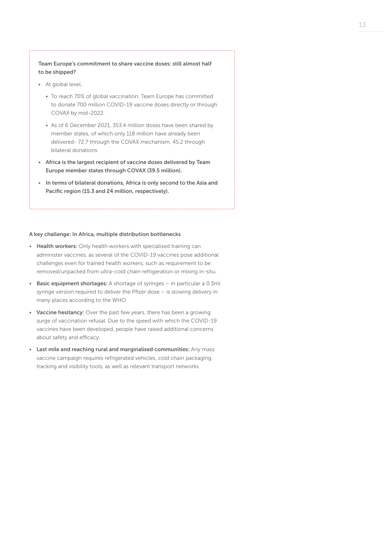## Team Europe's commitment to share vaccine doses: still almost half to be shipped?

- At global level,
	- To reach 70% of global vaccination, Team Europe has committed to donate 700 million COVID-19 vaccine doses directly or through COVAX by mid-2022.
	- As of 6 December 2021, 353.4 million doses have been shared by member states, of which only 118 million have already been delivered- 72.7 through the COVAX mechanism, 45.2 through bilateral donations
- Africa is the largest recipient of vaccine doses delivered by Team Europe member states through COVAX (39.5 million).
- In terms of bilateral donations, Africa is only second to the Asia and Pacific region (15.3 and 24 million, respectively).

#### A key challenge: In Africa, multiple distribution bottlenecks

- Health workers: Only health workers with specialised training can administer vaccines, as several of the COVID-19 vaccines pose additional challenges even for trained health workers, such as requirement to be removed/unpacked from ultra-cold chain refrigeration or mixing in-situ.
- Basic equipment shortages: A shortage of syringes in particular a 0.3ml syringe version required to deliver the Pfizer dose – is slowing delivery in many places according to the WHO.
- Vaccine hesitancy: Over the past few years, there has been a growing surge of vaccination refusal. Due to the speed with which the COVID-19 vaccines have been developed, people have raised additional concerns about safety and efficacy.
- Last mile and reaching rural and marginalised communities: Any mass vaccine campaign requires refrigerated vehicles, cold chain packaging, tracking and visibility tools, as well as relevant transport networks.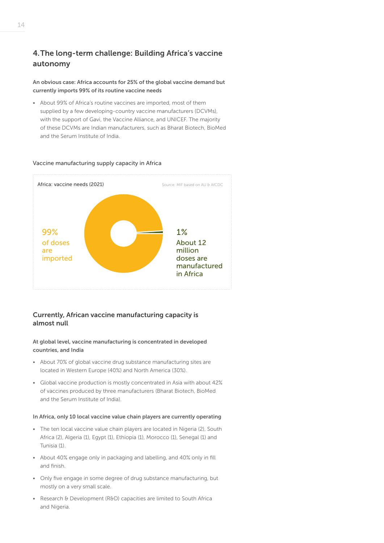# 4.The long-term challenge: Building Africa's vaccine autonomy

An obvious case: Africa accounts for 25% of the global vaccine demand but currently imports 99% of its routine vaccine needs

• About 99% of Africa's routine vaccines are imported, most of them supplied by a few developing-country vaccine manufacturers (DCVMs), with the support of Gavi, the Vaccine Alliance, and UNICEF. The majority of these DCVMs are Indian manufacturers, such as Bharat Biotech, BioMed and the Serum Institute of India.



#### Vaccine manufacturing supply capacity in Africa

# Currently, African vaccine manufacturing capacity is almost null

#### At global level, vaccine manufacturing is concentrated in developed countries, and India

- About 70% of global vaccine drug substance manufacturing sites are located in Western Europe (40%) and North America (30%).
- Global vaccine production is mostly concentrated in Asia with about 42% of vaccines produced by three manufacturers (Bharat Biotech, BioMed and the Serum Institute of India).

#### In Africa, only 10 local vaccine value chain players are currently operating

- The ten local vaccine value chain players are located in Nigeria (2), South Africa (2), Algeria (1), Egypt (1), Ethiopia (1), Morocco (1), Senegal (1) and Tunisia (1).
- About 40% engage only in packaging and labelling, and 40% only in fill and finish.
- Only five engage in some degree of drug substance manufacturing, but mostly on a very small scale.
- Research & Development (R&D) capacities are limited to South Africa and Nigeria.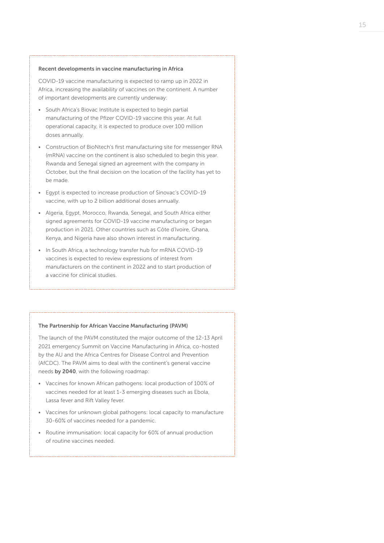#### Recent developments in vaccine manufacturing in Africa

COVID-19 vaccine manufacturing is expected to ramp up in 2022 in Africa, increasing the availability of vaccines on the continent. A number of important developments are currently underway:

- South Africa's Biovac Institute is expected to begin partial manufacturing of the Pfizer COVID-19 vaccine this year. At full operational capacity, it is expected to produce over 100 million doses annually.
- Construction of BioNtech's first manufacturing site for messenger RNA (mRNA) vaccine on the continent is also scheduled to begin this year. Rwanda and Senegal signed an agreement with the company in October, but the final decision on the location of the facility has yet to be made.
- Egypt is expected to increase production of Sinovac's COVID-19 vaccine, with up to 2 billion additional doses annually.
- Algeria, Egypt, Morocco, Rwanda, Senegal, and South Africa either signed agreements for COVID-19 vaccine manufacturing or began production in 2021. Other countries such as Côte d'Ivoire, Ghana, Kenya, and Nigeria have also shown interest in manufacturing.
- In South Africa, a technology transfer hub for mRNA COVID-19 vaccines is expected to review expressions of interest from manufacturers on the continent in 2022 and to start production of a vaccine for clinical studies.

#### The Partnership for African Vaccine Manufacturing (PAVM)

The launch of the PAVM constituted the major outcome of the 12-13 April 2021 emergency Summit on Vaccine Manufacturing in Africa, co-hosted by the AU and the Africa Centres for Disease Control and Prevention (AfCDC). The PAVM aims to deal with the continent's general vaccine needs by 2040, with the following roadmap:

- Vaccines for known African pathogens: local production of 100% of vaccines needed for at least 1-3 emerging diseases such as Ebola, Lassa fever and Rift Valley fever.
- Vaccines for unknown global pathogens: local capacity to manufacture 30-60% of vaccines needed for a pandemic.
- Routine immunisation: local capacity for 60% of annual production of routine vaccines needed.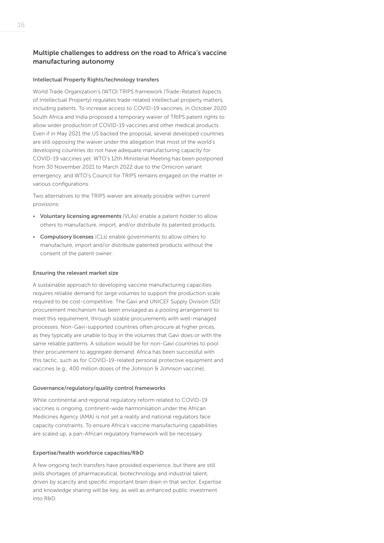# Multiple challenges to address on the road to Africa's vaccine manufacturing autonomy

#### Intellectual Property Rights/technology transfers

World Trade Organization's (WTO) TRIPS framework (Trade-Related Aspects of Intellectual Property) regulates trade-related intellectual property matters, including patents. To increase access to COVID-19 vaccines, in October 2020 South Africa and India proposed a temporary waiver of TRIPS patent rights to allow wider production of COVID-19 vaccines and other medical products. Even if in May 2021 the US backed the proposal, several developed countries are still opposing the waiver under the allegation that most of the world's developing countries do not have adequate manufacturing capacity for COVID-19 vaccines yet. WTO's 12th Ministerial Meeting has been postponed from 30 November 2021 to March 2022 due to the Omicron variant emergency, and WTO's Council for TRIPS remains engaged on the matter in various configurations.

Two alternatives to the TRIPS waiver are already possible within current provisions:

- Voluntary licensing agreements (VLAs) enable a patent holder to allow others to manufacture, import, and/or distribute its patented products.
- Compulsory licenses (CLs) enable governments to allow others to manufacture, import and/or distribute patented products without the consent of the patent owner.

#### Ensuring the relevant market size

A sustainable approach to developing vaccine manufacturing capacities requires reliable demand for large volumes to support the production scale required to be cost-competitive. The Gavi and UNICEF Supply Division (SD) procurement mechanism has been envisaged as a pooling arrangement to meet this requirement, through sizable procurements with well-managed processes. Non-Gavi-supported countries often procure at higher prices, as they typically are unable to buy in the volumes that Gavi does or with the same reliable patterns. A solution would be for non-Gavi countries to pool their procurement to aggregate demand. Africa has been successful with this tactic, such as for COVID-19-related personal protective equipment and vaccines (e.g., 400 million doses of the Johnson & Johnson vaccine).

#### Governance/regulatory/quality control frameworks

While continental and regional regulatory reform related to COVID-19 vaccines is ongoing, continent-wide harmonisation under the African Medicines Agency (AMA) is not yet a reality and national regulators face capacity constraints. To ensure Africa's vaccine manufacturing capabilities are scaled up, a pan-African regulatory framework will be necessary.

#### Expertise/health workforce capacities/R&D

A few ongoing tech transfers have provided experience, but there are still skills shortages of pharmaceutical, biotechnology and industrial talent, driven by scarcity and specific important brain drain in that sector. Expertise and knowledge sharing will be key, as well as enhanced public investment into R&D.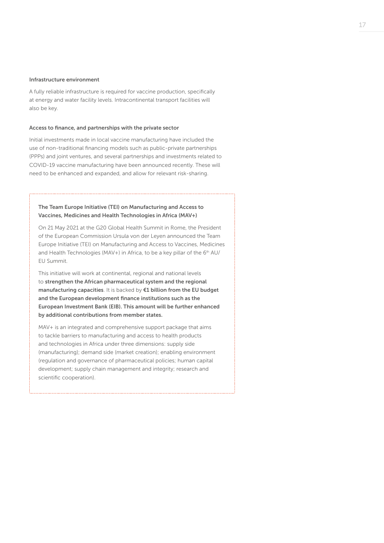#### Infrastructure environment

A fully reliable infrastructure is required for vaccine production, specifically at energy and water facility levels. Intracontinental transport facilities will also be key.

#### Access to finance, and partnerships with the private sector

Initial investments made in local vaccine manufacturing have included the use of non-traditional financing models such as public-private partnerships (PPPs) and joint ventures, and several partnerships and investments related to COVID-19 vaccine manufacturing have been announced recently. These will need to be enhanced and expanded, and allow for relevant risk-sharing.

# The Team Europe Initiative (TEI) on Manufacturing and Access to Vaccines, Medicines and Health Technologies in Africa (MAV+)

On 21 May 2021 at the G20 Global Health Summit in Rome, the President of the European Commission Ursula von der Leyen announced the Team Europe Initiative (TEI) on Manufacturing and Access to Vaccines, Medicines and Health Technologies (MAV+) in Africa, to be a key pillar of the  $6<sup>th</sup>$  AU/ EU Summit.

This initiative will work at continental, regional and national levels to strengthen the African pharmaceutical system and the regional manufacturing capacities. It is backed by €1 billion from the EU budget and the European development finance institutions such as the European Investment Bank (EIB). This amount will be further enhanced by additional contributions from member states.

MAV+ is an integrated and comprehensive support package that aims to tackle barriers to manufacturing and access to health products and technologies in Africa under three dimensions: supply side (manufacturing); demand side (market creation); enabling environment (regulation and governance of pharmaceutical policies; human capital development; supply chain management and integrity; research and scientific cooperation).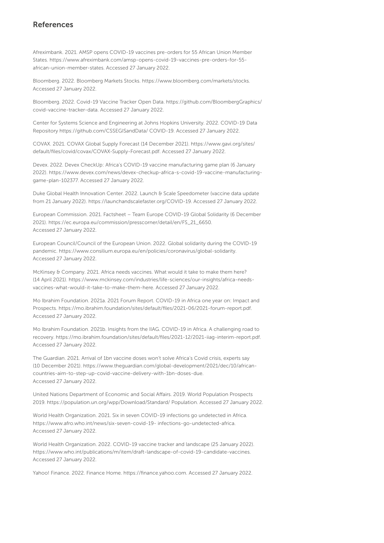# References

Afreximbank. 2021. AMSP opens COVID-19 vaccines pre-orders for 55 African Union Member States. https://www.afreximbank.com/amsp-opens-covid-19-vaccines-pre-orders-for-55 african-union-member-states. Accessed 27 January 2022.

Bloomberg. 2022. Bloomberg Markets Stocks. https://www.bloomberg.com/markets/stocks. Accessed 27 January 2022.

Bloomberg. 2022. Covid-19 Vaccine Tracker Open Data. https://github.com/BloombergGraphics/ covid-vaccine-tracker-data. Accessed 27 January 2022.

Center for Systems Science and Engineering at Johns Hopkins University. 2022. COVID-19 Data Repository https://github.com/CSSEGISandData/ COVID-19. Accessed 27 January 2022.

COVAX. 2021. COVAX Global Supply Forecast (14 December 2021). https://www.gavi.org/sites/ default/files/covid/covax/COVAX-Supply-Forecast.pdf. Accessed 27 January 2022.

Devex. 2022. Devex CheckUp: Africa's COVID-19 vaccine manufacturing game plan (6 January 2022). https://www.devex.com/news/devex-checkup-africa-s-covid-19-vaccine-manufacturinggame-plan-102377. Accessed 27 January 2022.

Duke Global Health Innovation Center. 2022. Launch & Scale Speedometer (vaccine data update from 21 January 2022). https://launchandscalefaster.org/COVID-19. Accessed 27 January 2022.

European Commission. 2021. Factsheet – Team Europe COVID-19 Global Solidarity (6 December 2021). https://ec.europa.eu/commission/presscorner/detail/en/FS\_21\_6650. Accessed 27 January 2022.

European Council/Council of the European Union. 2022. Global solidarity during the COVID-19 pandemic. https://www.consilium.europa.eu/en/policies/coronavirus/global-solidarity. Accessed 27 January 2022.

McKinsey & Company. 2021. Africa needs vaccines. What would it take to make them here? (14 April 2021). https://www.mckinsey.com/industries/life-sciences/our-insights/africa-needsvaccines-what-would-it-take-to-make-them-here. Accessed 27 January 2022.

Mo Ibrahim Foundation. 2021a. 2021 Forum Report. COVID-19 in Africa one year on: Impact and Prospects. https://mo.ibrahim.foundation/sites/default/files/2021-06/2021-forum-report.pdf. Accessed 27 January 2022.

Mo Ibrahim Foundation. 2021b. Insights from the IIAG. COVID-19 in Africa. A challenging road to recovery. https://mo.ibrahim.foundation/sites/default/files/2021-12/2021-iiag-interim-report.pdf. Accessed 27 January 2022.

The Guardian. 2021. Arrival of 1bn vaccine doses won't solve Africa's Covid crisis, experts say (10 December 2021). https://www.theguardian.com/global-development/2021/dec/10/africancountries-aim-to-step-up-covid-vaccine-delivery-with-1bn-doses-due. Accessed 27 January 2022.

United Nations Department of Economic and Social Affairs. 2019. World Population Prospects 2019. https://population.un.org/wpp/Download/Standard/ Population. Accessed 27 January 2022.

World Health Organization. 2021. Six in seven COVID-19 infections go undetected in Africa. https://www.afro.who.int/news/six-seven-covid-19- infections-go-undetected-africa. Accessed 27 January 2022.

World Health Organization. 2022. COVID-19 vaccine tracker and landscape (25 January 2022). https://www.who.int/publications/m/item/draft-landscape-of-covid-19-candidate-vaccines. Accessed 27 January 2022.

Yahoo! Finance. 2022. Finance Home. https://finance.yahoo.com. Accessed 27 January 2022.